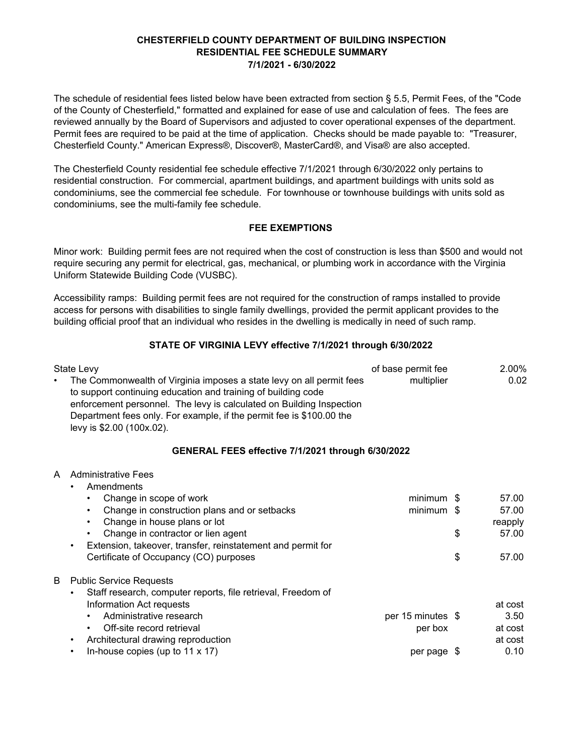The schedule of residential fees listed below have been extracted from section § 5.5, Permit Fees, of the "Code of the County of Chesterfield," formatted and explained for ease of use and calculation of fees. The fees are reviewed annually by the Board of Supervisors and adjusted to cover operational expenses of the department. Permit fees are required to be paid at the time of application. Checks should be made payable to: "Treasurer, Chesterfield County." American Express®, Discover®, MasterCard®, and Visa® are also accepted.

The Chesterfield County residential fee schedule effective 7/1/2021 through 6/30/2022 only pertains to residential construction. For commercial, apartment buildings, and apartment buildings with units sold as condominiums, see the commercial fee schedule. For townhouse or townhouse buildings with units sold as condominiums, see the multi-family fee schedule.

# **FEE EXEMPTIONS**

Minor work: Building permit fees are not required when the cost of construction is less than \$500 and would not require securing any permit for electrical, gas, mechanical, or plumbing work in accordance with the Virginia Uniform Statewide Building Code (VUSBC).

Accessibility ramps: Building permit fees are not required for the construction of ramps installed to provide access for persons with disabilities to single family dwellings, provided the permit applicant provides to the building official proof that an individual who resides in the dwelling is medically in need of such ramp.

# **STATE OF VIRGINIA LEVY effective 7/1/2021 through 6/30/2022**

|   | State Levy<br>The Commonwealth of Virginia imposes a state levy on all permit fees<br>to support continuing education and training of building code<br>enforcement personnel. The levy is calculated on Building Inspection<br>Department fees only. For example, if the permit fee is \$100.00 the<br>levy is \$2.00 (100x.02).                             | of base permit fee<br>multiplier             |          | 2.00%<br>0.02                                 |
|---|--------------------------------------------------------------------------------------------------------------------------------------------------------------------------------------------------------------------------------------------------------------------------------------------------------------------------------------------------------------|----------------------------------------------|----------|-----------------------------------------------|
|   | GENERAL FEES effective 7/1/2021 through 6/30/2022                                                                                                                                                                                                                                                                                                            |                                              |          |                                               |
| A | Administrative Fees<br>Amendments<br>Change in scope of work<br>$\bullet$<br>Change in construction plans and or setbacks<br>$\bullet$<br>Change in house plans or lot<br>$\bullet$<br>Change in contractor or lien agent<br>$\bullet$<br>Extension, takeover, transfer, reinstatement and permit for<br>$\bullet$<br>Certificate of Occupancy (CO) purposes | minimum \$<br>minimum \$                     | \$<br>\$ | 57.00<br>57.00<br>reapply<br>57.00<br>57.00   |
| B | <b>Public Service Requests</b><br>Staff research, computer reports, file retrieval, Freedom of<br>Information Act requests<br>Administrative research<br>Off-site record retrieval<br>$\bullet$<br>Architectural drawing reproduction<br>$\bullet$<br>In-house copies (up to $11 \times 17$ )                                                                | per 15 minutes $$$<br>per box<br>per page \$ |          | at cost<br>3.50<br>at cost<br>at cost<br>0.10 |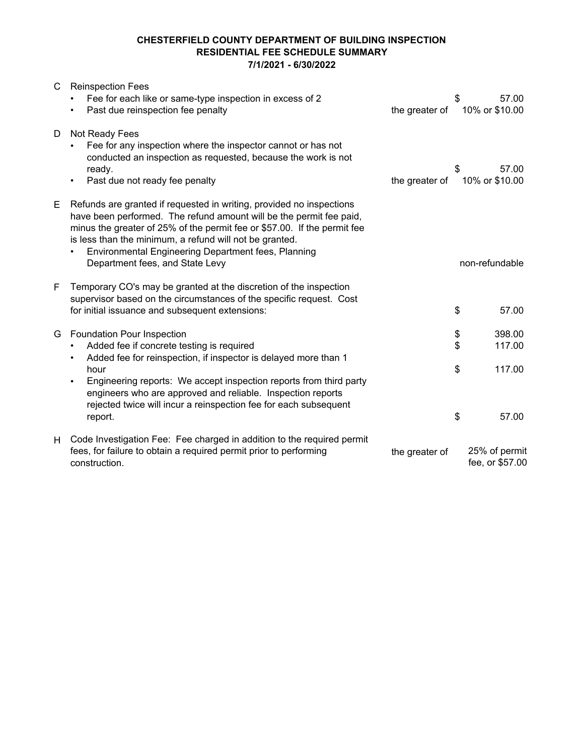| C | <b>Reinspection Fees</b><br>Fee for each like or same-type inspection in excess of 2<br>Past due reinspection fee penalty                                                                                                                                                                                                                                                    | the greater of | \$       | 57.00<br>10% or \$10.00          |
|---|------------------------------------------------------------------------------------------------------------------------------------------------------------------------------------------------------------------------------------------------------------------------------------------------------------------------------------------------------------------------------|----------------|----------|----------------------------------|
| D | Not Ready Fees<br>Fee for any inspection where the inspector cannot or has not<br>conducted an inspection as requested, because the work is not<br>ready.<br>Past due not ready fee penalty<br>$\bullet$                                                                                                                                                                     | the greater of | \$       | 57.00<br>10% or \$10.00          |
| Е | Refunds are granted if requested in writing, provided no inspections<br>have been performed. The refund amount will be the permit fee paid,<br>minus the greater of 25% of the permit fee or \$57.00. If the permit fee<br>is less than the minimum, a refund will not be granted.<br>Environmental Engineering Department fees, Planning<br>Department fees, and State Levy |                |          | non-refundable                   |
| F | Temporary CO's may be granted at the discretion of the inspection<br>supervisor based on the circumstances of the specific request. Cost<br>for initial issuance and subsequent extensions:                                                                                                                                                                                  |                | \$       | 57.00                            |
| G | <b>Foundation Pour Inspection</b><br>Added fee if concrete testing is required<br>Added fee for reinspection, if inspector is delayed more than 1                                                                                                                                                                                                                            |                | \$<br>\$ | 398.00<br>117.00                 |
|   | hour<br>Engineering reports: We accept inspection reports from third party<br>engineers who are approved and reliable. Inspection reports<br>rejected twice will incur a reinspection fee for each subsequent<br>report.                                                                                                                                                     |                | \$<br>\$ | 117.00<br>57.00                  |
| H | Code Investigation Fee: Fee charged in addition to the required permit<br>fees, for failure to obtain a required permit prior to performing<br>construction.                                                                                                                                                                                                                 | the greater of |          | 25% of permit<br>fee, or \$57.00 |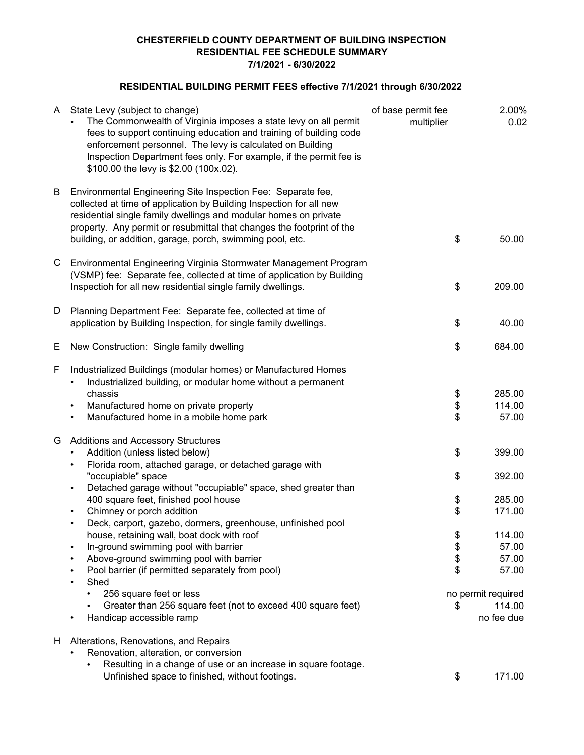# **RESIDENTIAL BUILDING PERMIT FEES effective 7/1/2021 through 6/30/2022**

| A  | State Levy (subject to change)<br>The Commonwealth of Virginia imposes a state levy on all permit<br>fees to support continuing education and training of building code<br>enforcement personnel. The levy is calculated on Building<br>Inspection Department fees only. For example, if the permit fee is<br>\$100.00 the levy is \$2.00 (100x.02). | of base permit fee<br>multiplier |                      | 2.00%<br>0.02                                           |
|----|------------------------------------------------------------------------------------------------------------------------------------------------------------------------------------------------------------------------------------------------------------------------------------------------------------------------------------------------------|----------------------------------|----------------------|---------------------------------------------------------|
| B  | Environmental Engineering Site Inspection Fee: Separate fee,<br>collected at time of application by Building Inspection for all new<br>residential single family dwellings and modular homes on private<br>property. Any permit or resubmittal that changes the footprint of the<br>building, or addition, garage, porch, swimming pool, etc.        |                                  | \$                   | 50.00                                                   |
| C  | Environmental Engineering Virginia Stormwater Management Program<br>(VSMP) fee: Separate fee, collected at time of application by Building<br>Inspectioh for all new residential single family dwellings.                                                                                                                                            |                                  | \$                   | 209.00                                                  |
| D  | Planning Department Fee: Separate fee, collected at time of<br>application by Building Inspection, for single family dwellings.                                                                                                                                                                                                                      |                                  | \$                   | 40.00                                                   |
| Е  | New Construction: Single family dwelling                                                                                                                                                                                                                                                                                                             |                                  | \$                   | 684.00                                                  |
| F  | Industrialized Buildings (modular homes) or Manufactured Homes<br>Industrialized building, or modular home without a permanent<br>$\bullet$<br>chassis<br>Manufactured home on private property<br>$\bullet$<br>Manufactured home in a mobile home park<br>$\bullet$                                                                                 |                                  | \$<br>\$<br>\$       | 285.00<br>114.00<br>57.00                               |
| G  | <b>Additions and Accessory Structures</b><br>Addition (unless listed below)<br>Florida room, attached garage, or detached garage with<br>$\bullet$<br>"occupiable" space<br>Detached garage without "occupiable" space, shed greater than<br>$\bullet$                                                                                               |                                  | \$<br>\$             | 399.00<br>392.00                                        |
|    | 400 square feet, finished pool house<br>Chimney or porch addition<br>$\bullet$<br>Deck, carport, gazebo, dormers, greenhouse, unfinished pool<br>$\bullet$                                                                                                                                                                                           |                                  | \$<br>\$             | 285.00<br>171.00                                        |
|    | house, retaining wall, boat dock with roof<br>In-ground swimming pool with barrier<br>Above-ground swimming pool with barrier<br>Pool barrier (if permitted separately from pool)<br>Shed<br>$\bullet$<br>256 square feet or less                                                                                                                    |                                  | \$<br>\$<br>\$<br>\$ | 114.00<br>57.00<br>57.00<br>57.00<br>no permit required |
|    | Greater than 256 square feet (not to exceed 400 square feet)<br>Handicap accessible ramp                                                                                                                                                                                                                                                             |                                  | \$                   | 114.00<br>no fee due                                    |
| H. | Alterations, Renovations, and Repairs<br>Renovation, alteration, or conversion<br>Resulting in a change of use or an increase in square footage.<br>Unfinished space to finished, without footings.                                                                                                                                                  |                                  | \$                   | 171.00                                                  |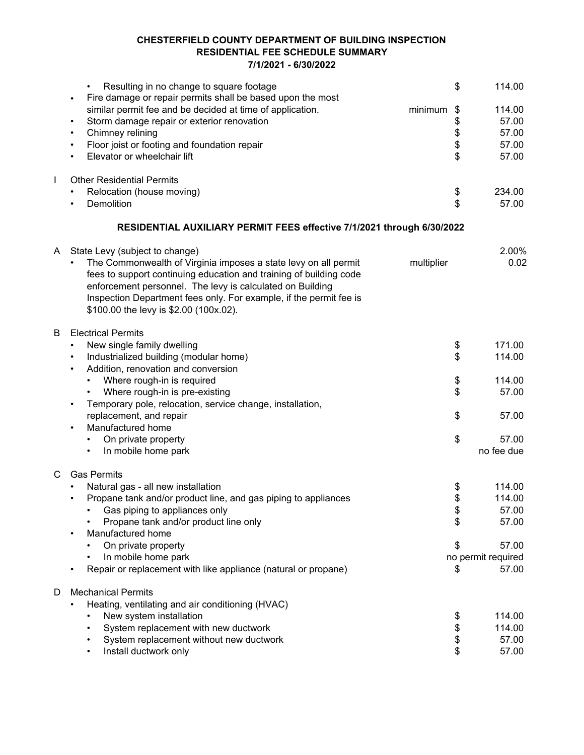|              | Resulting in no change to square footage                                | \$            | 114.00             |
|--------------|-------------------------------------------------------------------------|---------------|--------------------|
|              | Fire damage or repair permits shall be based upon the most<br>$\bullet$ |               |                    |
|              | similar permit fee and be decided at time of application.               | minimum<br>\$ | 114.00             |
|              | Storm damage repair or exterior renovation<br>$\bullet$                 |               | 57.00              |
|              | Chimney relining<br>$\bullet$                                           |               | 57.00              |
|              | Floor joist or footing and foundation repair<br>$\bullet$               | \$<br>\$      | 57.00              |
|              | Elevator or wheelchair lift<br>$\bullet$                                | \$            | 57.00              |
| $\mathbf{I}$ | <b>Other Residential Permits</b>                                        |               |                    |
|              | Relocation (house moving)<br>$\bullet$                                  | \$            | 234.00             |
|              | Demolition<br>$\bullet$                                                 | \$            | 57.00              |
|              | RESIDENTIAL AUXILIARY PERMIT FEES effective 7/1/2021 through 6/30/2022  |               |                    |
| A            | State Levy (subject to change)                                          |               | 2.00%              |
|              | The Commonwealth of Virginia imposes a state levy on all permit         | multiplier    | 0.02               |
|              | fees to support continuing education and training of building code      |               |                    |
|              | enforcement personnel. The levy is calculated on Building               |               |                    |
|              | Inspection Department fees only. For example, if the permit fee is      |               |                    |
|              | \$100.00 the levy is \$2.00 (100x.02).                                  |               |                    |
|              |                                                                         |               |                    |
| B            | <b>Electrical Permits</b>                                               |               |                    |
|              | New single family dwelling<br>$\bullet$                                 | \$            | 171.00             |
|              | Industrialized building (modular home)<br>$\bullet$                     | \$            | 114.00             |
|              | Addition, renovation and conversion<br>$\bullet$                        |               |                    |
|              | Where rough-in is required                                              | \$            | 114.00             |
|              | Where rough-in is pre-existing                                          | \$            | 57.00              |
|              | Temporary pole, relocation, service change, installation,               |               |                    |
|              | replacement, and repair                                                 | \$            | 57.00              |
|              | Manufactured home<br>$\bullet$                                          |               |                    |
|              | On private property                                                     | \$            | 57.00              |
|              | In mobile home park                                                     |               | no fee due         |
|              |                                                                         |               |                    |
| C            | <b>Gas Permits</b>                                                      |               |                    |
|              | Natural gas - all new installation                                      | \$            | 114.00             |
|              | Propane tank and/or product line, and gas piping to appliances          | \$            | 114.00             |
|              | Gas piping to appliances only                                           | \$            | 57.00              |
|              | Propane tank and/or product line only                                   | \$            | 57.00              |
|              | Manufactured home                                                       |               |                    |
|              | On private property                                                     | \$            | 57.00              |
|              | In mobile home park                                                     |               | no permit required |
|              | Repair or replacement with like appliance (natural or propane)          | \$            | 57.00              |
| D            | <b>Mechanical Permits</b>                                               |               |                    |
|              | Heating, ventilating and air conditioning (HVAC)<br>٠                   |               |                    |
|              | New system installation                                                 | \$            | 114.00             |
|              | System replacement with new ductwork                                    | \$            | 114.00             |
|              | System replacement without new ductwork                                 | \$            | 57.00              |
|              | Install ductwork only                                                   | \$            | 57.00              |
|              |                                                                         |               |                    |